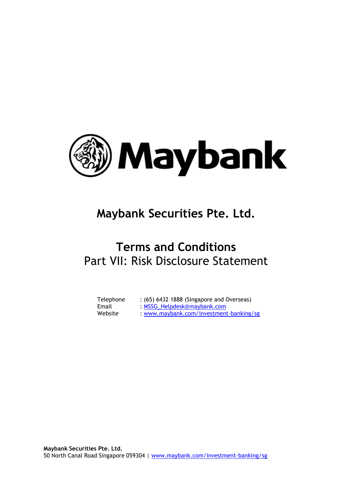

# **Maybank Securities Pte. Ltd.**

# **Terms and Conditions** Part VII: Risk Disclosure Statement

| Telephone | : (65) 6432 1888 (Singapore and Overseas) |
|-----------|-------------------------------------------|
| Email     | : MSSG_Helpdesk@maybank.com               |
| Website   | : www.maybank.com/investment-banking/sg   |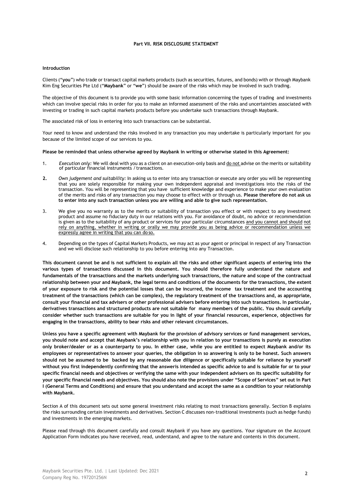# **Part VII. RISK DISCLOSURE STATEMENT**

## **Introduction**

Clients ("**you**") who trade or transact capital markets products (such as securities, futures, and bonds) with or through Maybank Kim Eng Securities Pte Ltd ("**Maybank**" or "**we**") should be aware of the risks which may be involved in such trading.

The objective of this document is to provide you with some basic information concerning the types of trading and investments which can involve special risks in order for you to make an informed assessment of the risks and uncertainties associated with investing or trading in such capital markets products before you undertake such transactions through Maybank.

The associated risk of loss in entering into such transactions can be substantial.

Your need to know and understand the risks involved in any transaction you may undertake is particularly important for you because of the limited scope of our services to you.

#### **Please be reminded that unless otherwise agreed by Maybank in writing or otherwise stated in this Agreement:**

- 1. *Execution only:* We will deal with you as a client on an execution-only basis and do not advise on the merits or suitability of particular financial instruments / transactions.
- **2.** *Own judgement and suitability:* In asking us to enter into any transaction or execute any order you will be representing that you are solely responsible for making your own independent appraisal and investigations into the risks of the transaction. You will be representing that you have sufficient knowledge and experience to make your own evaluation of the merits and risks of any transaction you may choose to effect with or through us. **Please therefore do not ask us to enter into any such transaction unless you are willing and able to give such representation.**
- 3. We give you no warranty as to the merits or suitability of transaction you effect or with respect to any investment product and assume no fiduciary duty in our relations with you. For avoidance of doubt, no advice or recommendation is given as to the suitability of any product or services for your particular circumstances and you cannot and should not rely on anything, whether in writing or orally we may provide you as being advice or recommendation unless we expressly agree in writing that you can do so.
- 4. Depending on the types of Capital Markets Products, we may act as your agent or principal in respect of any Transaction and we will disclose such relationship to you before entering into any Transaction.

**This document cannot be and is not sufficient to explain all the risks and other significant aspects of entering into the various types of transactions discussed in this document. You should therefore fully understand the nature and fundamentals of the transactions and the markets underlying such transactions, the nature and scope of the contractual relationship between your and Maybank, the legal terms and conditions of the documents for the transactions, the extent of your exposure to risk and the potential losses that can be incurred, the income tax treatment and the accounting treatment of the transactions (which can be complex), the regulatory treatment of the transactions and, as appropriate, consult your financial and tax advisers or other professional advisers before entering into such transactions. In particular, derivatives transactions and structured products are not suitable for many members of the public. You should carefully consider whether such transactions are suitable for you in light of your financial resources, experience, objectives for engaging in the transactions, ability to bear risks and other relevant circumstances.**

**Unless you have a specific agreement with Maybank for the provision of advisory services or fund management services, you should note and accept that Maybank's relationship with you in relation to your transactions is purely as execution only broker/dealer or as a counterparty to you. In either case, while you are entitled to expect Maybank and/or its employees or representatives to answer your queries, the obligation in so answering is only to be honest. Such answers should not be assumed to be backed by any reasonable due diligence or specifically suitable for reliance by yourself without you first independently confirming that the answeris intended as specific advice to and is suitable for or to your specific financial needs and objectives or verifying the same with your independent advisers on its specific suitability for your specific financial needs and objectives. You should also note the provisions under "Scope of Services" set out in Part I (General Terms and Conditions) and ensure that you understand and accept the same as a condition to your relationship with Maybank.**

Section A of this document sets out some general investment risks relating to most transactions generally. Section B explains the risks surrounding certain investments and derivatives. Section C discusses non-traditional investments (such as hedge funds) and investments in the emerging markets.

Please read through this document carefully and consult Maybank if you have any questions. Your signature on the Account Application Form indicates you have received, read, understand, and agree to the nature and contents in this document.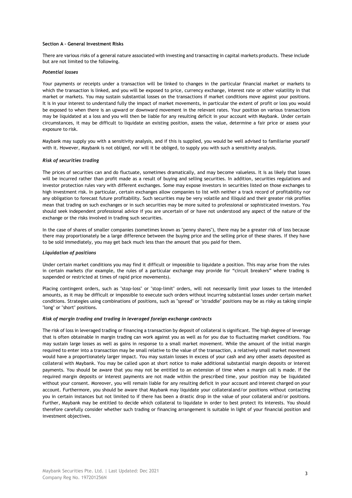## **Section A – General Investment Risks**

There are various risks of a general nature associated with investing and transacting in capital markets products. These include but are not limited to the following.

#### *Potential losses*

Your payments or receipts under a transaction will be linked to changes in the particular financial market or markets to which the transaction is linked, and you will be exposed to price, currency exchange, interest rate or other volatility in that market or markets. You may sustain substantial losses on the transactions if market conditions move against your positions. It is in your interest to understand fully the impact of market movements, in particular the extent of profit or loss you would be exposed to when there is an upward or downward movement in the relevant rates. Your position on various transactions may be liquidated at a loss and you will then be liable for any resulting deficit in your account with Maybank. Under certain circumstances, it may be difficult to liquidate an existing position, assess the value, determine a fair price or assess your exposure to risk.

Maybank may supply you with a sensitivity analysis, and if this is supplied, you would be well advised to familiarise yourself with it. However, Maybank is not obliged, nor will it be obliged, to supply you with such a sensitivity analysis.

#### *Risk of securities trading*

The prices of securities can and do fluctuate, sometimes dramatically, and may become valueless. It is as likely that losses will be incurred rather than profit made as a result of buying and selling securities. In addition, securities regulations and investor protection rules vary with different exchanges. Some may expose investors in securities listed on those exchanges to high investment risk. In particular, certain exchanges allow companies to list with neither a track record of profitability nor any obligation to forecast future profitability. Such securities may be very volatile and illiquid and their greater risk profiles mean that trading on such exchanges or in such securities may be more suited to professional or sophisticated investors. You should seek independent professional advice if you are uncertain of or have not understood any aspect of the nature of the exchange or the risks involved in trading such securities.

In the case of shares of smaller companies (sometimes known as "penny shares"), there may be a greater risk of loss because there may proportionately be a large difference between the buying price and the selling price of these shares. If they have to be sold immediately, you may get back much less than the amount that you paid for them.

#### *Liquidation of positions*

Under certain market conditions you may find it difficult or impossible to liquidate a position. This may arise from the rules in certain markets (for example, the rules of a particular exchange may provide for "circuit breakers" where trading is suspended or restricted at times of rapid price movements).

Placing contingent orders, such as "stop-loss" or "stop-limit" orders, will not necessarily limit your losses to the intended amounts, as it may be difficult or impossible to execute such orders without incurring substantial losses under certain market conditions. Strategies using combinations of positions, such as "spread" or "straddle" positions may be as risky as taking simple "long" or "short" positions.

#### *Risk of margin trading and trading in leveraged foreign exchange contracts*

The risk of loss in leveraged trading or financing a transaction by deposit of collateral is significant. The high degree of leverage that is often obtainable in margin trading can work against you as well as for you due to fluctuating market conditions. You may sustain large losses as well as gains in response to a small market movement. While the amount of the initial margin required to enter into a transaction may be small relative to the value of the transaction, a relatively small market movement would have a proportionately larger impact. You may sustain losses in excess of your cash and any other assets deposited as collateral with Maybank. You may be called upon at short notice to make additional substantial margin deposits or interest payments. You should be aware that you may not be entitled to an extension of time when a margin call is made. If the required margin deposits or interest payments are not made within the prescribed time, your position may be liquidated without your consent. Moreover, you will remain liable for any resulting deficit in your account and interest charged on your account. Furthermore, you should be aware that Maybank may liquidate your collateraland/or positions without contacting you in certain instances but not limited to if there has been a drastic drop in the value of your collateral and/or positions. Further, Maybank may be entitled to decide which collateral to liquidate in order to best protect its interests. You should therefore carefully consider whether such trading or financing arrangement is suitable in light of your financial position and investment objectives.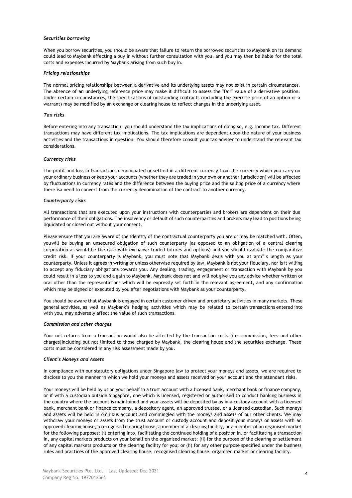#### *Securities borrowing*

When you borrow securities, you should be aware that failure to return the borrowed securities to Maybank on its demand could lead to Maybank effecting a buy in without further consultation with you, and you may then be liable for the total costs and expenses incurred by Maybank arising from such buy in.

#### *Pricing relationships*

The normal pricing relationships between a derivative and its underlying assets may not exist in certain circumstances. The absence of an underlying reference price may make it difficult to assess the "fair" value of a derivative position. Under certain circumstances, the specifications of outstanding contracts (including the exercise price of an option or a warrant) may be modified by an exchange or clearing house to reflect changes in the underlying asset.

# *Tax risks*

Before entering into any transaction, you should understand the tax implications of doing so, e.g. income tax. Different transactions may have different tax implications. The tax implications are dependent upon the nature of your business activities and the transactions in question. You should therefore consult your tax adviser to understand the relevant tax considerations.

#### *Currency risks*

The profit and loss in transactions denominated or settled in a different currency from the currency which you carry on your ordinary business or keep your accounts (whether they are traded in your own or another jurisdiction) will be affected by fluctuations in currency rates and the difference between the buying price and the selling price of a currency where there isa need to convert from the currency denomination of the contract to another currency.

#### *Counterparty risks*

All transactions that are executed upon your instructions with counterparties and brokers are dependent on their due performance of their obligations. The insolvency or default of such counterparties and brokers may lead to positions being liquidated or closed out without your consent.

Please ensure that you are aware of the identity of the contractual counterparty you are or may be matched with. Often, youwill be buying an unsecured obligation of such counterparty (as opposed to an obligation of a central clearing corporation as would be the case with exchange traded futures and options) and you should evaluate the comparative credit risk. If your counterparty is Maybank, you must note that Maybank deals with you at arm" s length as your counterparty. Unless it agrees in writing or unless otherwise required by law, Maybank is not your fiduciary, nor is it willing to accept any fiduciary obligations towards you. Any dealing, trading, engagement or transaction with Maybank by you could result in a loss to you and a gain to Maybank. Maybank does not and will not give you any advice whether written or oral other than the representations which will be expressly set forth in the relevant agreement, and any confirmation which may be signed or executed by you after negotiations with Maybank as your counterparty.

You should be aware that Maybank is engaged in certain customer driven and proprietary activities in many markets. These general activities, as well as Maybank's hedging activities which may be related to certain transactions entered into with you, may adversely affect the value of such transactions.

#### *Commission and other charges*

Your net returns from a transaction would also be affected by the transaction costs (i.e. commission, fees and other charges)including but not limited to those charged by Maybank, the clearing house and the securities exchange. These costs must be considered in any risk assessment made by you.

#### *Client's Moneys and Assets*

In compliance with our statutory obligations under Singapore law to protect your moneys and assets, we are required to disclose to you the manner in which we hold your moneys and assets received on your account and the attendant risks.

Your moneys will be held by us on your behalf in a trust account with a licensed bank, merchant bank or finance company, or if with a custodian outside Singapore, one which is licensed, registered or authorised to conduct banking business in the country where the account is maintained and your assets will be deposited by us in a custody account with a licensed bank, merchant bank or finance company, a depository agent, an approved trustee, or a licensed custodian. Such moneys and assets will be held in omnibus account and commingled with the moneys and assets of our other clients. We may withdraw your moneys or assets from the trust account or custody account and deposit your moneys or assets with an approved clearing house, a recognised clearing house, a member of a clearing facility, or a member of an organised market for the following purposes: (i) entering into, facilitating the continued holding of a position in, or facilitating a transaction in, any capital markets products on your behalf on the organised market; (ii) for the purpose of the clearing or settlement of any capital markets products on the clearing facility for you; or (ii) for any other purpose specified under the business rules and practices of the approved clearing house, recognised clearing house, organised market or clearing facility.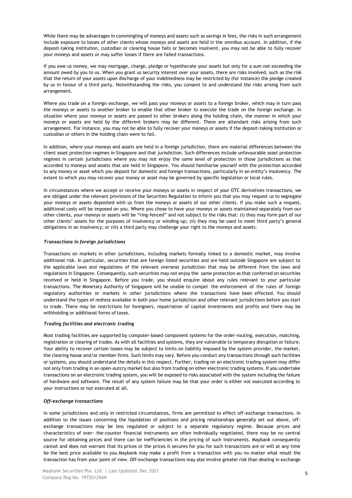While there may be advantages in commingling of moneys and assets such as savings in fees, the risks in such arrangement include exposure to losses of other clients whose moneys and assets are held in the omnibus account. In addition, if the deposit-taking institution, custodian or clearing house fails or becomes insolvent, you may not be able to fully recover your moneys and assets or may suffer losses if there are failed transactions.

If you owe us money, we may mortgage, charge, pledge or hypothecate your assets but only for a sum not exceeding the amount owed by you to us. When you grant us security interest over your assets, there are risks involved, such as the risk that the return of your assets upon discharge of your indebtedness may be restricted by (for instance) the pledge created by us in favour of a third party. Notwithstanding the risks, you consent to and understand the risks arising from such arrangement.

Where you trade on a foreign exchange, we will pass your moneys or assets to a foreign broker, which may in turn pass the moneys or assets to another broker to enable that other broker to execute the trade on the foreign exchange. In situation where your moneys or assets are passed to other brokers along the holding chain, the manner in which your moneys or assets are held by the different brokers may be different. There are attendant risks arising from such arrangement. For instance, you may not be able to fully recover your moneys or assets if the deposit-taking institution or custodian or others in the holding chain were to fail.

In addition, where your moneys and assets are held in a foreign jurisdiction, there are material differences between the client asset protection regimes in Singapore and that jurisdiction. Such differences include unfavourable asset protection regimes in certain jurisdictions where you may not enjoy the same level of protection in those jurisdictions as that accorded to moneys and assets that are held in Singapore. You should familiarise yourself with the protection accorded to any money or asset which you deposit for domestic and foreign transactions, particularly in an entity's insolvency. The extent to which you may recover your money or asset may be governed by specific legislation or local rules.

In circumstances where we accept or receive your moneys or assets in respect of your OTC derivatives transactions, we are obliged under the relevant provisions of the Securities Regulation to inform you that you may request us to segregate your moneys or assets deposited with us from the moneys or assets of our other clients. If you make such a request, additional costs will be imposed on you. Where you chose to have your moneys or assets maintained separately from our other clients, your moneys or assets will be "ring-fenced" and not subject to the risks that: (i) they may form part of our other clients' assets for the purposes of insolvency or winding-up; (ii) they may be used to meet third party's general obligations in an insolvency; or (iii) a third party may challenge your right to the moneys and assets.

# *Transactions in foreign jurisdictions*

Transactions on markets in other jurisdictions, including markets formally linked to a domestic market, may involve additional risk. In particular, securities that are foreign listed securities and are held outside Singapore are subject to the applicable laws and regulations of the relevant overseas jurisdiction that may be different from the laws and regulations in Singapore. Consequently, such securities may not enjoy the same protection as that conferred on securities received or held in Singapore. Before you trade, you should enquire about any rules relevant to your particular transactions. The Monetary Authority of Singapore will be unable to compel the enforcement of the rules of foreign regulatory authorities or markets in other jurisdictions where the transactions have been effected. You should understand the types of redress available in both your home jurisdiction and other relevant jurisdictions before you start to trade. There may be restrictions for foreigners, repatriation of capital investments and profits and there may be withholding or additional forms of taxes.

## *Trading facilities and electronic trading*

Most trading facilities are supported by computer-based component systems for the order-routing, execution, matching, registration or clearing of trades. As with all facilities and systems, they are vulnerable to temporary disruption or failure. Your ability to recover certain losses may be subject to limits on liability imposed by the system provider, the market, the clearing house and/or member firms. Such limits may vary. Before you conduct any transactions through such facilities or systems, you should understand the details in this respect. Further, trading on an electronic trading system may differ not only from trading in an open-outcry market but also from trading on other electronic trading systems. If you undertake transactions on an electronic trading system, you will be exposed to risks associated with the system including the failure of hardware and software. The result of any system failure may be that your order is either not executed according to your instructions or not executed at all.

## *Off-exchange transactions*

In some jurisdictions and only in restricted circumstances, firms are permitted to effect off-exchange transactions. In addition to the issues concerning the liquidation of positions and pricing relationships generally set out above, offexchange transactions may be less regulated or subject to a separate regulatory regime. Because prices and characteristics of over- the-counter financial instruments are often individually negotiated, there may be no central source for obtaining prices and there can be inefficiencies in the pricing of such instruments. Maybank consequently cannot and does not warrant that its prices or the prices it secures for you for such transactions are or will at any time be the best price available to you.Maybank may make a profit from a transaction with you no matter what result the transaction has from your point of view. Off-exchange transactions may also involve greater risk than dealing in exchange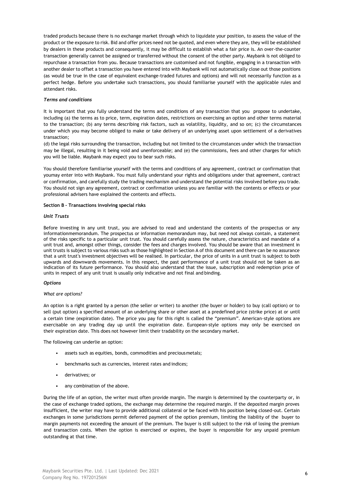traded products because there is no exchange market through which to liquidate your position, to assess the value of the product or the exposure to risk. Bid and offer prices need not be quoted, and even where they are, they will be established by dealers in these products and consequently, it may be difficult to establish what a fair price is. An over-the-counter transaction generally cannot be assigned or transferred without the consent of the other party. Maybank is not obliged to repurchase a transaction from you. Because transactions are customised and not fungible, engaging in a transaction with another dealer to offset a transaction you have entered into with Maybank will not automatically close out those positions (as would be true in the case of equivalent exchange-traded futures and options) and will not necessarily function as a perfect hedge. Before you undertake such transactions, you should familiarise yourself with the applicable rules and attendant risks.

## *Terms and conditions*

It is important that you fully understand the terms and conditions of any transaction that you propose to undertake, including (a) the terms as to price, term, expiration dates, restrictions on exercising an option and other terms material to the transaction; (b) any terms describing risk factors, such as volatility, liquidity, and so on; (c) the circumstances under which you may become obliged to make or take delivery of an underlying asset upon settlement of a derivatives transaction;

(d) the legal risks surrounding the transaction, including but not limited to the circumstances under which the transaction may be illegal, resulting in it being void and unenforceable; and (e) the commissions, fees and other charges for which you will be liable. Maybank may expect you to bear such risks.

You should therefore familiarise yourself with the terms and conditions of any agreement, contract or confirmation that youmay enter into with Maybank. You must fully understand your rights and obligations under that agreement, contract or confirmation, and carefully study the trading mechanism and understand the potential risks involved before you trade. You should not sign any agreement, contract or confirmation unless you are familiar with the contents or effects or your professional advisers have explained the contents and effects.

## **Section B – Transactions involving special risks**

## *Unit Trusts*

Before investing in any unit trust, you are advised to read and understand the contents of the prospectus or any informationmemorandum. The prospectus or information memorandum may, but need not always contain, a statement of the risks specific to a particular unit trust. You should carefully assess the nature, characteristics and mandate of a unit trust and, amongst other things, consider the fees and charges involved. You should be aware that an investment in unit trusts is subject to various risks such as those highlighted in Section A of this document and there can be no assurance that a unit trust's investment objectives will be realised. In particular, the price of units in a unit trust is subject to both upwards and downwards movements. In this respect, the past performance of a unit trust should not be taken as an indication of its future performance. You should also understand that the issue, subscription and redemption price of units in respect of any unit trust is usually only indicative and not final and binding.

## *Options*

#### *What are options?*

An option is a right granted by a person (the seller or writer) to another (the buyer or holder) to buy (call option) or to sell (put option) a specified amount of an underlying share or other asset at a predefined price (strike price) at or until a certain time (expiration date). The price you pay for this right is called the "premium". American-style options are exercisable on any trading day up until the expiration date. European-style options may only be exercised on their expiration date. This does not however limit their tradability on the secondary market.

The following can underlie an option:

- assets such as equities, bonds, commodities and preciousmetals;
- benchmarks such as currencies, interest rates and indices;
- derivatives; or
- any combination of the above.

During the life of an option, the writer must often provide margin. The margin is determined by the counterparty or, in the case of exchange traded options, the exchange may determine the required margin. If the deposited margin proves insufficient, the writer may have to provide additional collateral or be faced with his position being closed-out. Certain exchanges in some jurisdictions permit deferred payment of the option premium, limiting the liability of the buyer to margin payments not exceeding the amount of the premium. The buyer is still subject to the risk of losing the premium and transaction costs. When the option is exercised or expires, the buyer is responsible for any unpaid premium outstanding at that time.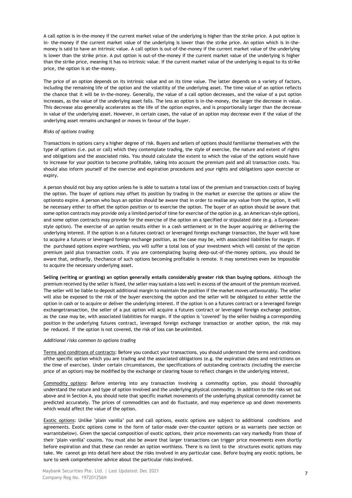A call option is in-the-money if the current market value of the underlying is higher than the strike price. A put option is in- the-money if the current market value of the underlying is lower than the strike price. An option which is in-themoney is said to have an intrinsic value. A call option is out-of-the-money if the current market value of the underlying is lower than the strike price. A put option is out-of-the-money if the current market value of the underlying is higher than the strike price, meaning it has no intrinsic value. If the current market value of the underlying is equal to its strike price, the option is at-the-money.

The price of an option depends on its intrinsic value and on its time value. The latter depends on a variety of factors, including the remaining life of the option and the volatility of the underlying asset. The time value of an option reflects the chance that it will be in-the-money. Generally, the value of a call option decreases, and the value of a put option increases, as the value of the underlying asset falls. The less an option is in-the-money, the larger the decrease in value. This decrease also generally accelerates as the life of the option expires, and is proportionally larger than the decrease in value of the underlying asset. However, in certain cases, the value of an option may decrease even if the value of the underlying asset remains unchanged or moves in favour of the buyer.

## *Risks of options trading*

Transactions in options carry a higher degree of risk. Buyers and sellers of options should familiarise themselves with the type of options (i.e. put or call) which they contemplate trading, the style of exercise, the nature and extent of rights and obligations and the associated risks. You should calculate the extent to which the value of the options would have to increase for your position to become profitable, taking into account the premium paid and all transaction costs. You should also inform yourself of the exercise and expiration procedures and your rights and obligations upon exercise or expiry.

A person should not buy any option unless he is able to sustain a total loss of the premium and transaction costs of buying the option. The buyer of options may offset its position by trading in the market or exercise the options or allow the optionsto expire. A person who buys an option should be aware that in order to realise any value from the option, it will be necessary either to offset the option position or to exercise the option. The buyer of an option should be aware that some option contracts may provide only a limited period of time for exercise of the option (e.g. an American-style option), and some option contracts may provide for the exercise of the option on a specified or stipulated date (e.g. a Europeanstyle option). The exercise of an option results either in a cash settlement or in the buyer acquiring or delivering the underlying interest. If the option is on a futures contract or leveraged foreign exchange transaction, the buyer will have to acquire a futures or leveraged foreign exchange position, as the case may be, with associated liabilities for margin. If the purchased options expire worthless, you will suffer a total loss of your investment which will consist of the option premium paid plus transaction costs. If you are contemplating buying deep-out-of-the-money options, you should be aware that, ordinarily, thechance of such options becoming profitable is remote. It may sometimes even be impossible to acquire the necessary underlying asset.

**Selling (writing or granting) an option generally entails considerably greater risk than buying options.** Although the premium received by the seller is fixed, the seller may sustain a loss well in excess of the amount of the premium received. The seller will be liable to deposit additional margin to maintain the position if the market moves unfavourably. The seller will also be exposed to the risk of the buyer exercising the option and the seller will be obligated to either settle the option in cash or to acquire or deliver the underlying interest. If the option is on a futures contract or a leveraged foreign exchangetransaction, the seller of a put option will acquire a futures contract or leveraged foreign exchange position, as the case may be, with associated liabilities for margin. If the option is "covered" by the seller holding a corresponding position in the underlying futures contract, leveraged foreign exchange transaction or another option, the risk may be reduced. If the option is not covered, the risk of loss can beunlimited.

## *Additional risks common to options trading*

Terms and conditions of contracts: Before you conduct your transactions, you should understand the terms and conditions ofthe specific option which you are trading and the associated obligations (e.g. the expiration dates and restrictions on the time of exercise). Under certain circumstances, the specifications of outstanding contracts (including the exercise price of an option) may be modified by the exchange or clearing house to reflect changes in the underlying interest.

Commodity options: Before entering into any transaction involving a commodity option, you should thoroughly understand the nature and type of option involved and the underlying physical commodity. In addition to the risks set out above and in Section A, you should note that specific market movements of the underlying physical commodity cannot be predicted accurately. The prices of commodities can and do fluctuate, and may experience up and down movements which would affect the value of the option.

Exotic options: Unlike "plain vanilla" put and call options, exotic options are subject to additional conditions and agreements. Exotic options come in the form of tailor-made over-the-counter options or as warrants (see section on warrantsbelow). Given the special composition of exotic options, their price movements can vary markedly from those of their "plain vanilla" cousins. You must also be aware that larger transactions can trigger price movements even shortly before expiration and that these can render an option worthless. There is no limit to the structures exotic options may take. We cannot go into detail here about the risks involved in any particular case. Before buying any exotic options, be sure to seek comprehensive advice about the particular risks involved.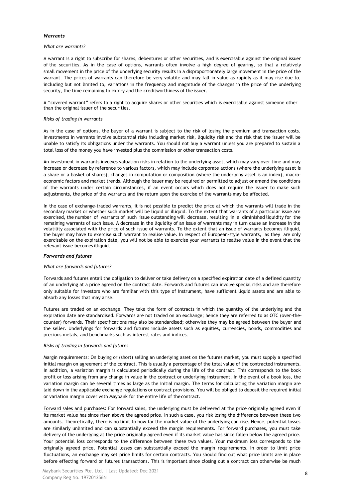#### *Warrants*

#### *What are warrants?*

A warrant is a right to subscribe for shares, debentures or other securities, and is exercisable against the original issuer of the securities. As in the case of options, warrants often involve a high degree of gearing, so that a relatively small movement in the price of the underlying security results in a disproportionately large movement in the price of the warrant. The prices of warrants can therefore be very volatile and may fall in value as rapidly as it may rise due to, including but not limited to, variations in the frequency and magnitude of the changes in the price of the underlying security, the time remaining to expiry and the creditworthiness of the issuer.

A "covered warrant" refers to a right to acquire shares or other securities which is exercisable against someone other than the original issuer of the securities.

#### *Risks of trading in warrants*

As in the case of options, the buyer of a warrant is subject to the risk of losing the premium and transaction costs. Investments in warrants involve substantial risks including market risk, liquidity risk and the risk that the issuer will be unable to satisfy its obligations under the warrants. You should not buy a warrant unless you are prepared to sustain a total loss of the money you have invested plus the commission or other transaction costs.

An investment in warrants involves valuation risks in relation to the underlying asset, which may vary over time and may increase or decrease by reference to various factors, which may include corporate actions (where the underlying asset is a share or a basket of shares), changes in computation or composition (where the underlying asset is an index), macroeconomic factors and market trends. Although the issuer may be required or permitted to adjust or amend the conditions of the warrants under certain circumstances, if an event occurs which does not require the issuer to make such adjustments, the price of the warrants and the return upon the exercise of the warrants may be affected.

In the case of exchange-traded warrants, it is not possible to predict the price at which the warrants will trade in the secondary market or whether such market will be liquid or illiquid. To the extent that warrants of a particular issue are exercised, the number of warrants of such issue outstanding will decrease, resulting in a diminished liquidity for the remaining warrants of such issue. A decrease in the liquidity of an issue of warrants may in turn cause an increase in the volatility associated with the price of such issue of warrants. To the extent that an issue of warrants becomes illiquid, the buyer may have to exercise such warrant to realise value. In respect of European-style warrants, as they are only exercisable on the expiration date, you will not be able to exercise your warrants to realise value in the event that the relevant issue becomes illiquid.

## *Forwards and futures*

#### *What are forwards and futures?*

Forwards and futures entail the obligation to deliver or take delivery on a specified expiration date of a defined quantity of an underlying at a price agreed on the contract date. Forwards and futures can involve special risks and are therefore only suitable for investors who are familiar with this type of instrument, have sufficient liquid assets and are able to absorb any losses that may arise.

Futures are traded on an exchange. They take the form of contracts in which the quantity of the underlying and the expiration date are standardised. Forwards are not traded on an exchange; hence they are referred to as OTC (over-thecounter) forwards. Their specifications may also be standardised; otherwise they may be agreed between the buyer and the seller. Underlyings for forwards and futures include assets such as equities, currencies, bonds, commodities and precious metals, and benchmarks such as interest rates and indices.

## *Risks of trading in forwards and futures*

Margin requirements: On buying or (short) selling an underlying asset on the futures market, you must supply a specified initial margin on agreement of the contract. This is usually a percentage of the total value of the contracted instruments. In addition, a variation margin is calculated periodically during the life of the contract. This corresponds to the book profit or loss arising from any change in value in the contract or underlying instrument. In the event of a book loss, the variation margin can be several times as large as the initial margin. The terms for calculating the variation margin are laid down in the applicable exchange regulations or contract provisions. You will be obliged to deposit the required initial or variation margin cover with Maybank for the entire life of thecontract.

Forward sales and purchases: For forward sales, the underlying must be delivered at the price originally agreed even if its market value has since risen above the agreed price. In such a case, you risk losing the difference between these two amounts. Theoretically, there is no limit to how far the market value of the underlying can rise. Hence, potential losses are similarly unlimited and can substantially exceed the margin requirements. For forward purchases, you must take delivery of the underlying at the price originally agreed even if its market value has since fallen below the agreed price. Your potential loss corresponds to the difference between these two values. Your maximum loss corresponds to the originally agreed price. Potential losses can substantially exceed the margin requirements. In order to limit price fluctuations, an exchange may set price limits for certain contracts. You should find out what price limits are in place before effecting forward or futures transactions. This is important since closing out a contract can otherwise be much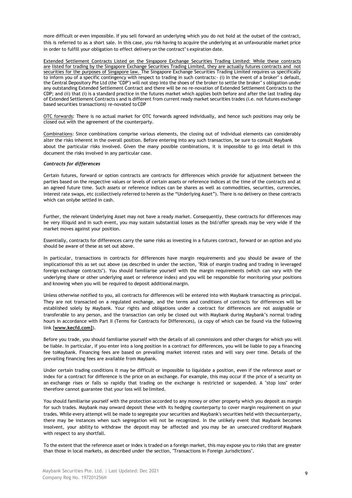more difficult or even impossible. If you sell forward an underlying which you do not hold at the outset of the contract, this is referred to as a short sale. In this case, you risk having to acquire the underlying at an unfavourable market price in order to fulfill your obligation to effect delivery on the contract" s expiration date.

Extended Settlement Contracts Listed on the Singapore Exchange Securities Trading Limited: While these contracts are listed for trading by the Singapore Exchange Securities Trading Limited, they are actually futures contracts and not securities for the purposes of Singapore law. The Singapore Exchange Securities Trading Limited requires us specifically to inform you of a specific contingency with respect to trading in such contracts:- (i) In the event of a broker" s default, the Central Depository Pte Ltd (the "CDP") will not step into the shoes of the broker to settle the broker" s obligation under any outstanding Extended Settlement Contract and there will be no re-novation of Extended Settlement Contracts to the CDP; and (ii) that (i) is a standard practice in the futures market which applies both before and after the last trading day of Extended Settlement Contracts s and is different from current ready market securities trades (i.e. not futures exchange based securities transactions) re-novated to CDP

OTC forwards: There is no actual market for OTC forwards agreed individually, and hence such positions may only be closed out with the agreement of the counterparty.

Combinations: Since combinations comprise various elements, the closing out of individual elements can considerably alter the risks inherent in the overall position. Before entering into any such transaction, be sure to consult Maybank about the particular risks involved. Given the many possible combinations, it is impossible to go into detail in this document the risks involved in any particular case.

# *Contracts for differences*

Certain futures, forward or option contracts are contracts for differences which provide for adjustment between the parties based on the respective values or levels of certain assets or reference indices at the time of the contracts and at an agreed future time. Such assets or reference indices can be shares as well as commodities, securities, currencies, interest rate swaps, etc (collectively referred to herein as the "Underlying Asset"). There is no delivery on these contracts which can onlybe settled in cash.

Further, the relevant Underlying Asset may not have a ready market. Consequently, these contracts for differences may be very illiquid and in such event, you may sustain substantial losses as the bid/offer spreads may be very wide if the market moves against your position.

Essentially, contracts for differences carry the same risks as investing in a futures contract, forward or an option and you should be aware of these as set out above.

In particular, transactions in contracts for differences have margin requirements and you should be aware of the implicationsof this as set out above (as described in under the section, "Risk of margin trading and trading in leveraged foreign exchange contracts"). You should familiarise yourself with the margin requirements (which can vary with the underlying share or other underlying asset or reference index) and you will be responsible for monitoring your positions and knowing when you will be required to deposit additional margin.

Unless otherwise notified to you, all contracts for differences will be entered into with Maybank transacting as principal. They are not transacted on a regulated exchange, and the terms and conditions of contracts for differences will be established solely by Maybank. Your rights and obligations under a contract for differences are not assignable or transferable to any person, and the transaction can only be closed out with Maybank during Maybank's normal trading hours in accordance with Part II (Terms for Contracts for Differences), (a copy of which can be found via the following link [**www.kecfd.com]**).

Before you trade, you should familiarise yourself with the details of all commissions and other charges for which you will be liable. In particular, if you enter into a long position in a contract for differences, you will be liable to pay a financing fee toMaybank. Financing fees are based on prevailing market interest rates and will vary over time. Details of the prevailing financing fees are available from Maybank.

Under certain trading conditions it may be difficult or impossible to liquidate a position, even if the reference asset or index for a contract for difference is the price on an exchange. For example, this may occur if the price of a security on an exchange rises or falls so rapidly that trading on the exchange is restricted or suspended. A "stop loss" order therefore cannot guarantee that your loss will be limited.

You should familiarise yourself with the protection accorded to any money or other property which you deposit as margin for such trades. Maybank may onward deposit these with its hedging counterparty to cover margin requirement on your trades. While every attempt will be made to segregate your securities and Maybank's securities held with thecounterparty, there may be instances when such segregation will not be recognized. In the unlikely event that Maybank becomes insolvent, your ability to withdraw the deposit may be affected and you may be an unsecured creditorof Maybank with respect to any shortfall.

To the extent that the reference asset or index is traded on a foreign market, this may expose you to risks that are greater than those in local markets, as described under the section, "Transactions in Foreign Jurisdictions".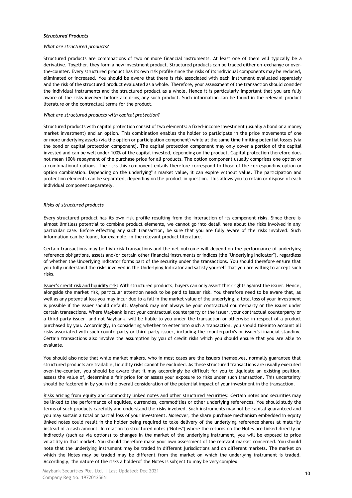## *Structured Products*

#### *What are structured products?*

Structured products are combinations of two or more financial instruments. At least one of them will typically be a derivative. Together, they form a new investment product. Structured products can be traded either on-exchange or overthe-counter. Every structured product has its own risk profile since the risks of its individual components may be reduced, eliminated or increased. You should be aware that there is risk associated with each instrument evaluated separately and the risk of the structured product evaluated as a whole. Therefore, your assessment of the transaction should consider the individual instruments and the structured product as a whole. Hence it is particularly important that you are fully aware of the risks involved before acquiring any such product. Such information can be found in the relevant product literature or the contractual terms for the product.

## *What are structured products with capital protection?*

Structured products with capital protection consist of two elements: a fixed-income investment (usually a bond or a money market investment) and an option. This combination enables the holder to participate in the price movements of one or more underlying assets (via the option or participation component) while at the same time limiting potential losses (via the bond or capital protection component). The capital protection component may only cover a portion of the capital invested and can be well under 100% of the capital invested, depending on the product. Capital protection therefore does not mean 100% repayment of the purchase price for all products. The option component usually comprises one option or a combinationof options. The risks this component entails therefore correspond to those of the corresponding option or option combination. Depending on the underlying" s market value, it can expire without value. The participation and protection elements can be separated, depending on the product in question. This allows you to retain or dispose of each individual component separately.

## *Risks of structured products*

Every structured product has its own risk profile resulting from the interaction of its component risks. Since there is almost limitless potential to combine product elements, we cannot go into detail here about the risks involved in any particular case. Before effecting any such transaction, be sure that you are fully aware of the risks involved. Such information can be found, for example, in the relevant product literature.

Certain transactions may be high risk transactions and the net outcome will depend on the performance of underlying reference obligations, assets and/or certain other financial instruments or indices (the "Underlying Indicator"), regardless of whether the Underlying Indicator forms part of the security under the transactions. You should therefore ensure that you fully understand the risks involved in the Underlying Indicator and satisfy yourself that you are willing to accept such risks.

Issuer's credit risk and liquidity risk: With structured products, buyers can only assert their rights against the issuer. Hence, alongside the market risk, particular attention needs to be paid to issuer risk. You therefore need to be aware that, as well as any potential loss you may incur due to a fall in the market value of the underlying, a total loss of your investment is possible if the issuer should default. Maybank may not always be your contractual counterparty or the issuer under certain transactions. Where Maybank is not your contractual counterparty or the issuer, your contractual counterparty or a third party issuer, and not Maybank, will be liable to you under the transaction or otherwise in respect of a product purchased by you. Accordingly, in considering whether to enter into such a transaction, you should takeinto account all risks associated with such counterparty or third party issuer, including the counterparty's or issuer's financial standing. Certain transactions also involve the assumption by you of credit risks which you should ensure that you are able to evaluate.

You should also note that while market makers, who in most cases are the issuers themselves, normally guarantee that structured products are tradable, liquidity risks cannot be excluded. As these structured transactions are usually executed over-the-counter, you should be aware that it may accordingly be difficult for you to liquidate an existing position, assess the value of, determine a fair price for or assess your exposure to risks under such transaction. This uncertainty should be factored in by you in the overall consideration of the potential impact of your investment in the transaction.

Risks arising from equity and commodity linked notes and other structured securities: Certain notes and securities may be linked to the performance of equities, currencies, commodities or other underlying references. You should study the terms of such products carefully and understand the risks involved. Such instruments may not be capital guaranteed and you may sustain a total or partial loss of your investment. Moreover, the share purchase mechanism embedded in equity linked notes could result in the holder being required to take delivery of the underlying reference shares at maturity instead of a cash amount. In relation to structured notes ("Notes") where the returns on the Notes are linked directly or indirectly (such as via options) to changes in the market of the underlying instrument, you will be exposed to price volatility in that market. You should therefore make your own assessment of the relevant market concerned. You should note that the underlying instrument may be traded in different jurisdictions and on different markets. The market on which the Notes may be traded may be different from the market on which the underlying instrument is traded. Accordingly, the nature of the risks a holderof the Notes is subject to may be very complex.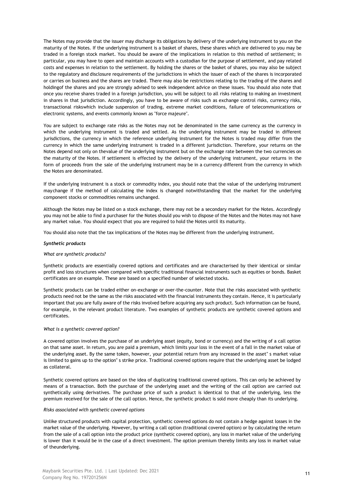The Notes may provide that the issuer may discharge its obligations by delivery of the underlying instrument to you on the maturity of the Notes. If the underlying instrument is a basket of shares, these shares which are delivered to you may be traded in a foreign stock market. You should be aware of the implications in relation to this method of settlement; in particular, you may have to open and maintain accounts with a custodian for the purpose of settlement, and pay related costs and expenses in relation to the settlement. By holding the shares or the basket of shares, you may also be subject to the regulatory and disclosure requirements of the jurisdictions in which the issuer of each of the shares is incorporated or carries on business and the shares are traded. There may also be restrictions relating to the trading of the shares and holdingof the shares and you are strongly advised to seek independent advice on these issues. You should also note that once you receive shares traded in a foreign jurisdiction, you will be subject to all risks relating to making an investment in shares in that jurisdiction. Accordingly, you have to be aware of risks such as exchange control risks, currency risks, transactional riskswhich include suspension of trading, extreme market conditions, failure of telecommunications or electronic systems, and events commonly known as "force majeure".

You are subject to exchange rate risks as the Notes may not be denominated in the same currency as the currency in which the underlying instrument is traded and settled. As the underlying instrument may be traded in different jurisdictions, the currency in which the reference underlying instrument for the Notes is traded may differ from the currency in which the same underlying instrument is traded in a different jurisdiction. Therefore, your returns on the Notes depend not only on thevalue of the underlying instrument but on the exchange rate between the two currencies on the maturity of the Notes. If settlement is effected by the delivery of the underlying instrument, your returns in the form of proceeds from the sale of the underlying instrument may be in a currency different from the currency in which the Notes are denominated.

If the underlying instrument is a stock or commodity index, you should note that the value of the underlying instrument maychange if the method of calculating the index is changed notwithstanding that the market for the underlying component stocks or commodities remains unchanged.

Although the Notes may be listed on a stock exchange, there may not be a secondary market for the Notes. Accordingly you may not be able to find a purchaser for the Notes should you wish to dispose of the Notes and the Notes may not have any market value. You should expect that you are required to hold the Notes until its maturity.

You should also note that the tax implications of the Notes may be different from the underlying instrument.

#### *Synthetic products*

#### *What are synthetic products?*

Synthetic products are essentially covered options and certificates and are characterised by their identical or similar profit and loss structures when compared with specific traditional financial instruments such as equities or bonds. Basket certificates are on example. These are based on a specified number of selected stocks.

Synthetic products can be traded either on-exchange or over-the-counter. Note that the risks associated with synthetic products need not be the same as the risks associated with the financial instruments they contain. Hence, it is particularly important that you are fully aware of the risks involved before acquiring any such product. Such information can be found, for example, in the relevant product literature. Two examples of synthetic products are synthetic covered options and certificates.

#### *What is a synthetic covered option?*

A covered option involves the purchase of an underlying asset (equity, bond or currency) and the writing of a call option on that same asset. In return, you are paid a premium, which limits your loss in the event of a fall in the market value of the underlying asset. By the same token, however, your potential return from any increased in the asset" s market value is limited to gains up to the option" s strike price. Traditional covered options require that the underlying asset be lodged as collateral.

Synthetic covered options are based on the idea of duplicating traditional covered options. This can only be achieved by means of a transaction. Both the purchase of the underlying asset and the writing of the call option are carried out synthetically using derivatives. The purchase price of such a product is identical to that of the underlying, less the premium received for the sale of the call option. Hence, the synthetic product is sold more cheaply than its underlying.

#### *Risks associated with synthetic covered options*

Unlike structured products with capital protection, synthetic covered options do not contain a hedge against losses in the market value of the underlying. However, by writing a call option (traditional covered option) or by calculating the return from the sale of a call option into the product price (synthetic covered option), any loss in market value of the underlying is lower than it would be in the case of a direct investment. The option premium thereby limits any loss in market value of theunderlying.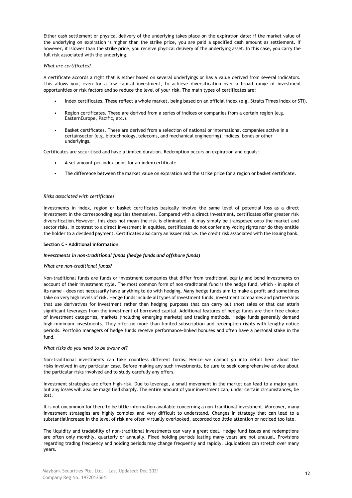Either cash settlement or physical delivery of the underlying takes place on the expiration date: if the market value of the underlying on expiration is higher than the strike price, you are paid a specified cash amount as settlement. If however, it islower than the strike price, you receive physical delivery of the underlying asset. In this case, you carry the full risk associated with the underlying.

## *What are certificates?*

A certificate accords a right that is either based on several underlyings or has a value derived from several indicators. This allows you, even for a low capital investment, to achieve diversification over a broad range of investment opportunities or risk factors and so reduce the level of your risk. The main types of certificates are:

- Index certificates. These reflect a whole market, being based on an official index (e.g. Straits Times Index or STI).
- Region certificates. These are derived from a series of indices or companies from a certain region (e.g. EasternEurope, Pacific, etc.).
- Basket certificates. These are derived from a selection of national or international companies active in a certainsector (e.g. biotechnology, telecoms, and mechanical engineering), indices, bonds or other underlyings.

Certificates are securitised and have a limited duration. Redemption occurs on expiration and equals:

- A set amount per index point for an index certificate.
- The difference between the market value on expiration and the strike price for a region or basket certificate.

# *Risks associated with certificates*

Investments in index, region or basket certificates basically involve the same level of potential loss as a direct investment in the corresponding equities themselves. Compared with a direct investment, certificates offer greater risk diversification.However, this does not mean the risk is eliminated – it may simply be transposed onto the market and sector risks. In contrast to a direct investment in equities, certificates do not confer any voting rights nor do they entitle the holder to a dividend payment. Certificates also carry an issuer risk i.e. the credit risk associated with the issuing bank.

## **Section C – Additional information**

## *Investments in non-traditional funds (hedge funds and offshore funds)*

## *What are non-traditional funds?*

Non-traditional funds are funds or investment companies that differ from traditional equity and bond investments on account of their investment style. The most common form of non-traditional fund is the hedge fund, which - in spite of its name - does not necessarily have anything to do with hedging. Many hedge funds aim to make a profit and sometimes take on very high levels of risk. Hedge funds include all types of investment funds, investment companies and partnerships that use derivatives for investment rather than hedging purposes that can carry out short sales or that can attain significant leverages from the investment of borrowed capital. Additional features of hedge funds are their free choice of investment categories, markets (including emerging markets) and trading methods. Hedge funds generally demand high minimum investments. They offer no more than limited subscription and redemption rights with lengthy notice periods. Portfolio managers of hedge funds receive performance-linked bonuses and often have a personal stake in the fund.

## *What risks do you need to be aware of?*

Non-traditional investments can take countless different forms. Hence we cannot go into detail here about the risks involved in any particular case. Before making any such investments, be sure to seek comprehensive advice about the particular risks involved and to study carefully any offers.

Investment strategies are often high-risk. Due to leverage, a small movement in the market can lead to a major gain, but any losses will also be magnified sharply. The entire amount of your investment can, under certain circumstances, be lost.

It is not uncommon for there to be little information available concerning a non-traditional investment. Moreover, many investment strategies are highly complex and very difficult to understand. Changes in strategy that can lead to a substantialincrease in the level of risk are often virtually overlooked, accorded too little attention or noticed too late.

The liquidity and tradability of non-traditional investments can vary a great deal. Hedge fund issues and redemptions are often only monthly, quarterly or annually. Fixed holding periods lasting many years are not unusual. Provisions regarding trading frequency and holding periods may change frequently and rapidly. Liquidations can stretch over many years.